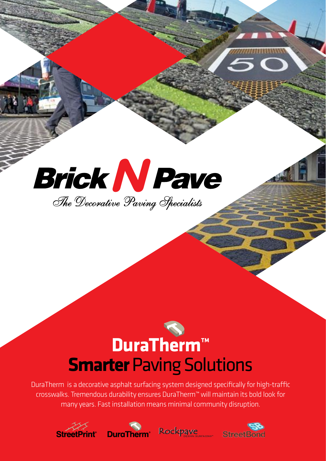# **Brick N Pave** The Decorative Paving Specialists

# **DuraTherm™ Smarter** Paving Solutions

DuraTherm is a decorative asphalt surfacing system designed specifically for high-traffic crosswalks. Tremendous durability ensures DuraTherm™ will maintain its bold look for many years. Fast installation means minimal community disruption.







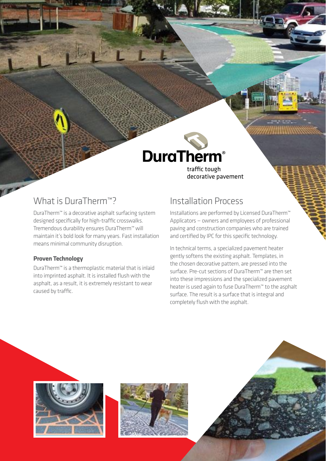## **DuraTherm®**

traffic tough decorative pavement

### What is DuraTherm<sup>™</sup>?

DuraTherm™ is a decorative asphalt surfacing system designed specifically for high-traffic crosswalks. Tremendous durability ensures DuraTherm™ will maintain it's bold look for many years. Fast installation means minimal community disruption.

#### **Proven Technology**

DuraTherm™ is a thermoplastic material that is inlaid into imprinted asphalt. It is installed flush with the asphalt, as a result, it is extremely resistant to wear caused by traffic.

## Installation Process

Installations are performed by Licensed DuraTherm™ Applicators — owners and employees of professional paving and construction companies who are trained and certified by IPC for this specific technology.

In technical terms, a specialized pavement heater gently softens the existing asphalt. Templates, in the chosen decorative pattern, are pressed into the surface. Pre-cut sections of DuraTherm™ are then set into these impressions and the specialized pavement heater is used again to fuse DuraTherm™ to the asphalt surface. The result is a surface that is integral and completely flush with the asphalt.





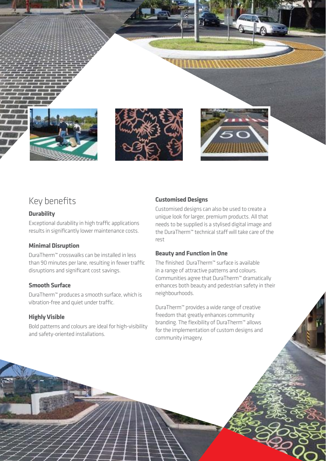

### Key benefits

#### **Durability**

Exceptional durability in high traffic applications results in significantly lower maintenance costs.

#### **Minimal Disruption**

DuraTherm™ crosswalks can be installed in less than 90 minutes per lane, resulting in fewer traffic disruptions and significant cost savings.

#### **Smooth Surface**

DuraTherm™ produces a smooth surface, which is vibration-free and quiet under traffic.

#### **Highly Visible**

Bold patterns and colours are ideal for high-visibility and safety-oriented installations.

#### **Customised Designs**

Customised designs can also be used to create a unique look for larger, premium products. All that needs to be supplied is a stylised digital image and the DuraTherm™ technical staff will take care of the rest

#### **Beauty and Function in One**

The finished DuraTherm™ surface is available in a range of attractive patterns and colours. Communities agree that DuraTherm™ dramatically enhances both beauty and pedestrian safety in their neighbourhoods.

DuraTherm™ provides a wide range of creative freedom that greatly enhances community branding. The flexibility of DuraTherm™ allows for the implementation of custom designs and community imagery.